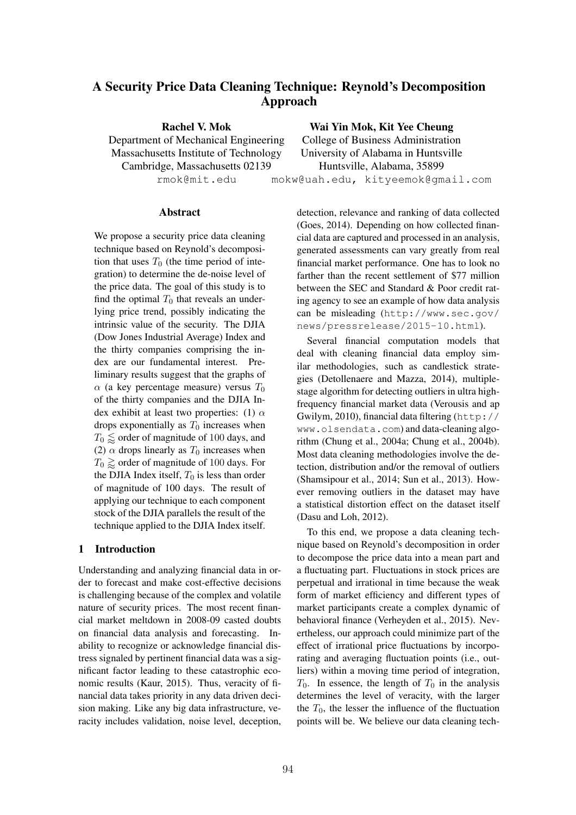# A Security Price Data Cleaning Technique: Reynold's Decomposition Approach

Rachel V. Mok

Department of Mechanical Engineering Massachusetts Institute of Technology Cambridge, Massachusetts 02139

rmok@mit.edu

Wai Yin Mok, Kit Yee Cheung

College of Business Administration University of Alabama in Huntsville Huntsville, Alabama, 35899 mokw@uah.edu, kityeemok@gmail.com

Abstract

We propose a security price data cleaning technique based on Reynold's decomposition that uses  $T_0$  (the time period of integration) to determine the de-noise level of the price data. The goal of this study is to find the optimal  $T_0$  that reveals an underlying price trend, possibly indicating the intrinsic value of the security. The DJIA (Dow Jones Industrial Average) Index and the thirty companies comprising the index are our fundamental interest. Preliminary results suggest that the graphs of  $\alpha$  (a key percentage measure) versus  $T_0$ of the thirty companies and the DJIA Index exhibit at least two properties: (1)  $\alpha$ drops exponentially as  $T_0$  increases when  $T_0 \lesssim$  order of magnitude of 100 days, and (2)  $\alpha$  drops linearly as  $T_0$  increases when  $T_0 \gtrsim$  order of magnitude of 100 days. For the DJIA Index itself,  $T_0$  is less than order of magnitude of 100 days. The result of applying our technique to each component stock of the DJIA parallels the result of the technique applied to the DJIA Index itself.

## 1 Introduction

Understanding and analyzing financial data in order to forecast and make cost-effective decisions is challenging because of the complex and volatile nature of security prices. The most recent financial market meltdown in 2008-09 casted doubts on financial data analysis and forecasting. Inability to recognize or acknowledge financial distress signaled by pertinent financial data was a significant factor leading to these catastrophic economic results (Kaur, 2015). Thus, veracity of financial data takes priority in any data driven decision making. Like any big data infrastructure, veracity includes validation, noise level, deception,

detection, relevance and ranking of data collected (Goes, 2014). Depending on how collected financial data are captured and processed in an analysis, generated assessments can vary greatly from real financial market performance. One has to look no farther than the recent settlement of \$77 million between the SEC and Standard & Poor credit rating agency to see an example of how data analysis can be misleading (http://www.sec.gov/ news/pressrelease/2015-10.html).

Several financial computation models that deal with cleaning financial data employ similar methodologies, such as candlestick strategies (Detollenaere and Mazza, 2014), multiplestage algorithm for detecting outliers in ultra highfrequency financial market data (Verousis and ap Gwilym, 2010), financial data filtering (http:// www.olsendata.com) and data-cleaning algorithm (Chung et al., 2004a; Chung et al., 2004b). Most data cleaning methodologies involve the detection, distribution and/or the removal of outliers (Shamsipour et al., 2014; Sun et al., 2013). However removing outliers in the dataset may have a statistical distortion effect on the dataset itself (Dasu and Loh, 2012).

To this end, we propose a data cleaning technique based on Reynold's decomposition in order to decompose the price data into a mean part and a fluctuating part. Fluctuations in stock prices are perpetual and irrational in time because the weak form of market efficiency and different types of market participants create a complex dynamic of behavioral finance (Verheyden et al., 2015). Nevertheless, our approach could minimize part of the effect of irrational price fluctuations by incorporating and averaging fluctuation points (i.e., outliers) within a moving time period of integration,  $T_0$ . In essence, the length of  $T_0$  in the analysis determines the level of veracity, with the larger the  $T_0$ , the lesser the influence of the fluctuation points will be. We believe our data cleaning tech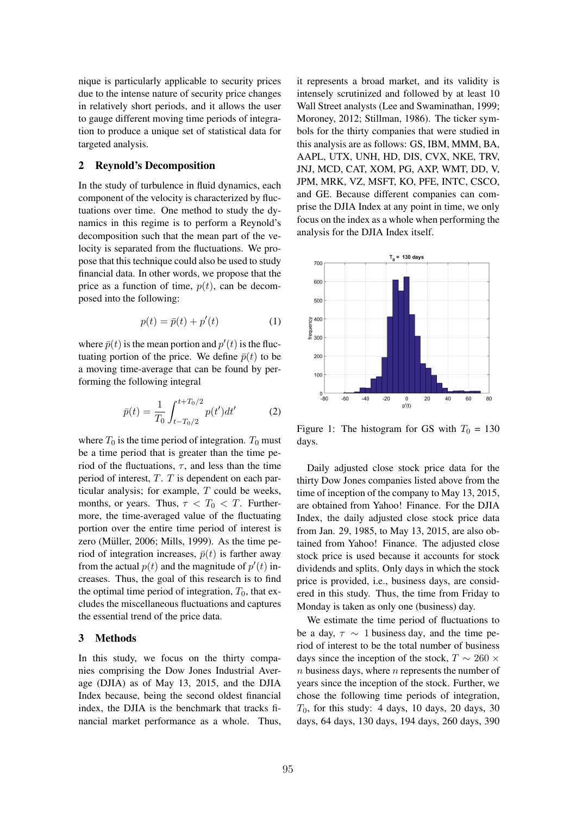nique is particularly applicable to security prices due to the intense nature of security price changes in relatively short periods, and it allows the user to gauge different moving time periods of integration to produce a unique set of statistical data for targeted analysis.

### 2 Reynold's Decomposition

In the study of turbulence in fluid dynamics, each component of the velocity is characterized by fluctuations over time. One method to study the dynamics in this regime is to perform a Reynold's decomposition such that the mean part of the velocity is separated from the fluctuations. We propose that this technique could also be used to study financial data. In other words, we propose that the price as a function of time,  $p(t)$ , can be decomposed into the following:

$$
p(t) = \bar{p}(t) + p'(t) \tag{1}
$$

where  $\bar{p}(t)$  is the mean portion and  $p'(t)$  is the fluctuating portion of the price. We define  $\bar{p}(t)$  to be a moving time-average that can be found by performing the following integral

$$
\bar{p}(t) = \frac{1}{T_0} \int_{t - T_0/2}^{t + T_0/2} p(t')dt' \tag{2}
$$

where  $T_0$  is the time period of integration.  $T_0$  must be a time period that is greater than the time period of the fluctuations,  $\tau$ , and less than the time period of interest, *T*. *T* is dependent on each particular analysis; for example, *T* could be weeks, months, or years. Thus,  $\tau < T_0 < T$ . Furthermore, the time-averaged value of the fluctuating portion over the entire time period of interest is zero (Müller, 2006; Mills, 1999). As the time period of integration increases,  $\bar{p}(t)$  is farther away from the actual  $p(t)$  and the magnitude of  $p'(t)$  increases. Thus, the goal of this research is to find the optimal time period of integration,  $T_0$ , that excludes the miscellaneous fluctuations and captures the essential trend of the price data.

## 3 Methods

In this study, we focus on the thirty companies comprising the Dow Jones Industrial Average (DJIA) as of May 13, 2015, and the DJIA Index because, being the second oldest financial index, the DJIA is the benchmark that tracks financial market performance as a whole. Thus, it represents a broad market, and its validity is intensely scrutinized and followed by at least 10 Wall Street analysts (Lee and Swaminathan, 1999; Moroney, 2012; Stillman, 1986). The ticker symbols for the thirty companies that were studied in this analysis are as follows: GS, IBM, MMM, BA, AAPL, UTX, UNH, HD, DIS, CVX, NKE, TRV, JNJ, MCD, CAT, XOM, PG, AXP, WMT, DD, V, JPM, MRK, VZ, MSFT, KO, PFE, INTC, CSCO, and GE. Because different companies can comprise the DJIA Index at any point in time, we only focus on the index as a whole when performing the analysis for the DJIA Index itself.



Figure 1: The histogram for GS with  $T_0 = 130$ days.

Daily adjusted close stock price data for the thirty Dow Jones companies listed above from the time of inception of the company to May 13, 2015, are obtained from Yahoo! Finance. For the DJIA Index, the daily adjusted close stock price data from Jan. 29, 1985, to May 13, 2015, are also obtained from Yahoo! Finance. The adjusted close stock price is used because it accounts for stock dividends and splits. Only days in which the stock price is provided, i.e., business days, are considered in this study. Thus, the time from Friday to Monday is taken as only one (business) day.

We estimate the time period of fluctuations to be a day,  $\tau \sim 1$  business day, and the time period of interest to be the total number of business days since the inception of the stock,  $T \sim 260 \times$ *n* business days, where *n* represents the number of years since the inception of the stock. Further, we chose the following time periods of integration,  $T_0$ , for this study: 4 days, 10 days, 20 days, 30 days, 64 days, 130 days, 194 days, 260 days, 390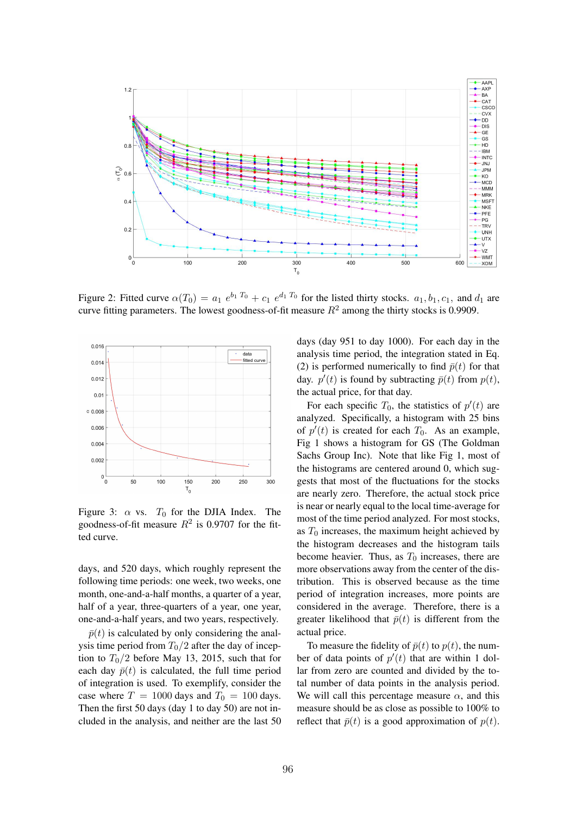

Figure 2: Fitted curve  $\alpha(T_0) = a_1 e^{b_1 T_0} + c_1 e^{d_1 T_0}$  for the listed thirty stocks.  $a_1, b_1, c_1$ , and  $d_1$  are curve fitting parameters. The lowest goodness-of-fit measure  $R^2$  among the thirty stocks is 0.9909.



Figure 3:  $\alpha$  vs.  $T_0$  for the DJIA Index. The goodness-of-fit measure  $R^2$  is 0.9707 for the fitted curve.

days, and 520 days, which roughly represent the following time periods: one week, two weeks, one month, one-and-a-half months, a quarter of a year, half of a year, three-quarters of a year, one year, one-and-a-half years, and two years, respectively.

 $\bar{p}(t)$  is calculated by only considering the analysis time period from  $T_0/2$  after the day of inception to  $T_0/2$  before May 13, 2015, such that for each day  $\bar{p}(t)$  is calculated, the full time period of integration is used. To exemplify, consider the case where  $T = 1000$  days and  $T_0 = 100$  days. Then the first 50 days (day 1 to day 50) are not included in the analysis, and neither are the last 50 days (day 951 to day 1000). For each day in the analysis time period, the integration stated in Eq. (2) is performed numerically to find  $\bar{p}(t)$  for that day.  $p'(t)$  is found by subtracting  $\bar{p}(t)$  from  $p(t)$ , the actual price, for that day.

For each specific  $T_0$ , the statistics of  $p'(t)$  are analyzed. Specifically, a histogram with 25 bins of  $p'(t)$  is created for each  $T_0$ . As an example, Fig 1 shows a histogram for GS (The Goldman Sachs Group Inc). Note that like Fig 1, most of the histograms are centered around 0, which suggests that most of the fluctuations for the stocks are nearly zero. Therefore, the actual stock price is near or nearly equal to the local time-average for most of the time period analyzed. For most stocks, as  $T_0$  increases, the maximum height achieved by the histogram decreases and the histogram tails become heavier. Thus, as  $T_0$  increases, there are more observations away from the center of the distribution. This is observed because as the time period of integration increases, more points are considered in the average. Therefore, there is a greater likelihood that  $\bar{p}(t)$  is different from the actual price.

To measure the fidelity of  $\bar{p}(t)$  to  $p(t)$ , the number of data points of  $p'(t)$  that are within 1 dollar from zero are counted and divided by the total number of data points in the analysis period. We will call this percentage measure  $\alpha$ , and this measure should be as close as possible to 100% to reflect that  $\bar{p}(t)$  is a good approximation of  $p(t)$ .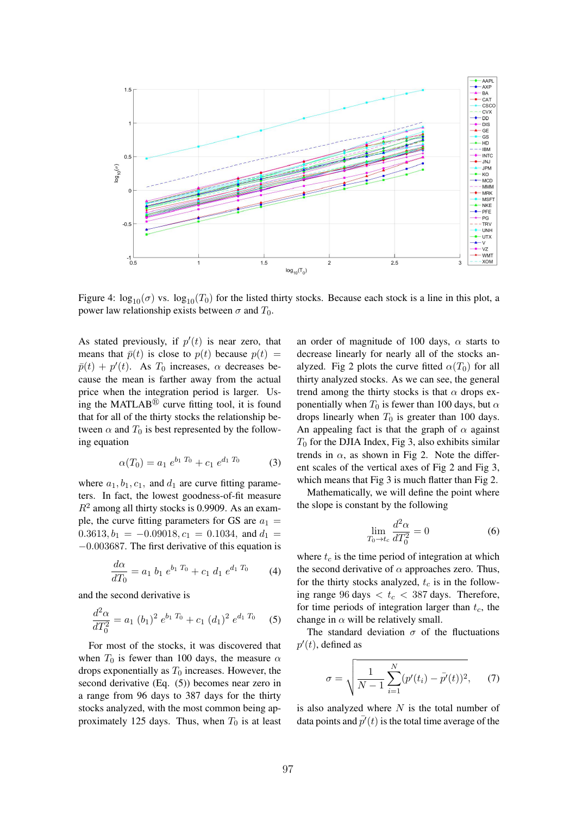

Figure 4:  $\log_{10}(\sigma)$  vs.  $\log_{10}(T_0)$  for the listed thirty stocks. Because each stock is a line in this plot, a power law relationship exists between  $\sigma$  and  $T_0$ .

As stated previously, if  $p'(t)$  is near zero, that means that  $\bar{p}(t)$  is close to  $p(t)$  because  $p(t)$  =  $\bar{p}(t) + p'(t)$ . As  $T_0$  increases,  $\alpha$  decreases because the mean is farther away from the actual price when the integration period is larger. Using the MATLAB $\mathbb{B}$  curve fitting tool, it is found that for all of the thirty stocks the relationship between  $\alpha$  and  $T_0$  is best represented by the following equation

$$
\alpha(T_0) = a_1 e^{b_1 T_0} + c_1 e^{d_1 T_0} \tag{3}
$$

where  $a_1, b_1, c_1$ , and  $d_1$  are curve fitting parameters. In fact, the lowest goodness-of-fit measure  $R<sup>2</sup>$  among all thirty stocks is 0.9909. As an example, the curve fitting parameters for GS are  $a_1 =$  $0.3613, b_1 = -0.09018, c_1 = 0.1034,$  and  $d_1 =$  $-0.003687$ . The first derivative of this equation is

$$
\frac{d\alpha}{dT_0} = a_1 b_1 e^{b_1 T_0} + c_1 d_1 e^{d_1 T_0} \tag{4}
$$

and the second derivative is

$$
\frac{d^2\alpha}{dT_0^2} = a_1 (b_1)^2 e^{b_1 T_0} + c_1 (d_1)^2 e^{d_1 T_0}
$$
 (5)

For most of the stocks, it was discovered that when  $T_0$  is fewer than 100 days, the measure  $\alpha$ drops exponentially as  $T_0$  increases. However, the second derivative (Eq. (5)) becomes near zero in a range from 96 days to 387 days for the thirty stocks analyzed, with the most common being approximately 125 days. Thus, when  $T_0$  is at least an order of magnitude of 100 days,  $\alpha$  starts to decrease linearly for nearly all of the stocks analyzed. Fig 2 plots the curve fitted  $\alpha(T_0)$  for all thirty analyzed stocks. As we can see, the general trend among the thirty stocks is that  $\alpha$  drops exponentially when  $T_0$  is fewer than 100 days, but  $\alpha$ drops linearly when  $T_0$  is greater than 100 days. An appealing fact is that the graph of  $\alpha$  against  $T_0$  for the DJIA Index, Fig 3, also exhibits similar trends in  $\alpha$ , as shown in Fig 2. Note the different scales of the vertical axes of Fig 2 and Fig 3, which means that Fig 3 is much flatter than Fig 2.

Mathematically, we will define the point where the slope is constant by the following

$$
\lim_{T_0 \to t_c} \frac{d^2 \alpha}{dT_0^2} = 0 \tag{6}
$$

where  $t_c$  is the time period of integration at which the second derivative of  $\alpha$  approaches zero. Thus, for the thirty stocks analyzed, *t<sup>c</sup>* is in the following range 96 days  $< t_c < 387$  days. Therefore, for time periods of integration larger than *tc*, the change in  $\alpha$  will be relatively small.

The standard deviation  $\sigma$  of the fluctuations  $p'(t)$ , defined as

$$
\sigma = \sqrt{\frac{1}{N-1} \sum_{i=1}^{N} (p'(t_i) - \bar{p'}(t))^2}, \qquad (7)
$$

is also analyzed where *N* is the total number of data points and  $\bar{p}'(t)$  is the total time average of the